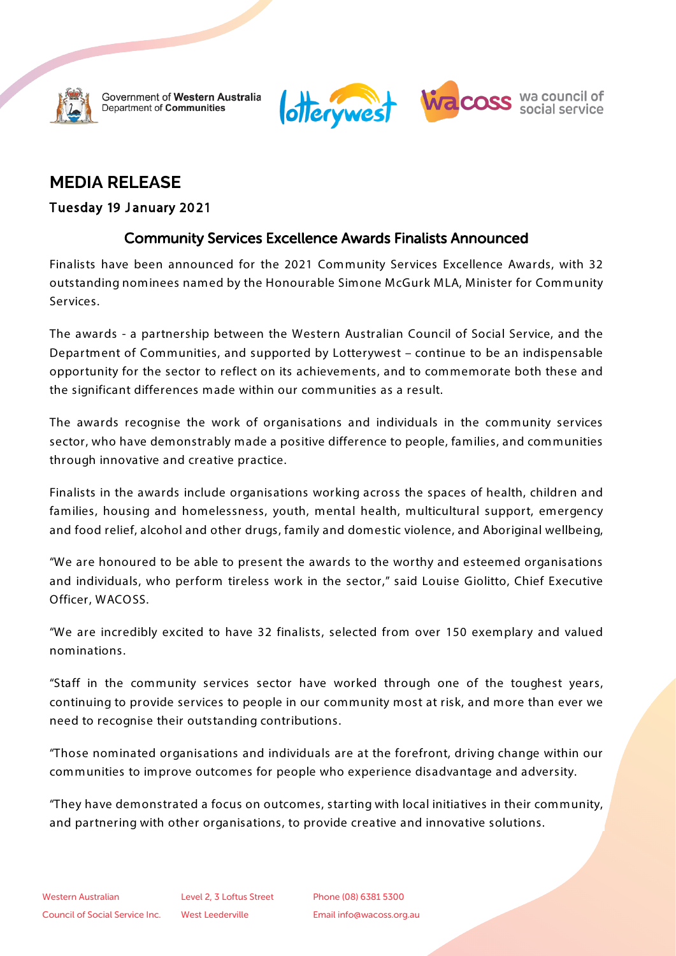

Government of Western Australia Department of Communities



# **MEDIA RELEASE**

### Tuesday 19 January 2021

# Community Services Excellence Awards Finalists Announced

Finalists have been announced for the 2021 Community Services Excellence Awards, with 32 outstanding nominees named by the Honourable Simone McGurk MLA, Minister for Community Services.

The awards - a partnership between the Western Australian Council of Social Service, and the Department of Communities, and supported by Lotterywest – continue to be an indispensable opportunity for the sector to reflect on its achievements, and to commemorate both these and the significant differences made within our communities as a result.

The awards recognise the work of organisations and individuals in the community services sector, who have demonstrably made a positive difference to people, families, and communities through innovative and creative practice.

Finalists in the awards include organisations working across the spaces of health, children and families, housing and homelessness, youth, mental health, multicultural support, emergency and food relief, alcohol and other drugs, family and domestic violence, and Aboriginal wellbeing,

"We are honoured to be able to present the awards to the worthy and esteemed organisations and individuals, who perform tireless work in the sector," said Louise Giolitto, Chief Executive Officer, WACOSS.

"We are incredibly excited to have 32 finalists, selected from over 150 exemplary and valued nominations.

"Staff in the community services sector have worked through one of the toughest years, continuing to provide services to people in our community most at risk, and more than ever we need to recognise their outstanding contributions.

"Those nominated organisations and individuals are at the forefront, driving change within our communities to improve outcomes for people who experience disadvantage and adversity.

"They have demonstrated a focus on outcomes, starting with local initiatives in their community, and partnering with other organisations, to provide creative and innovative solutions.

Phone (08) 6381 5300 Email info@wacoss.org.au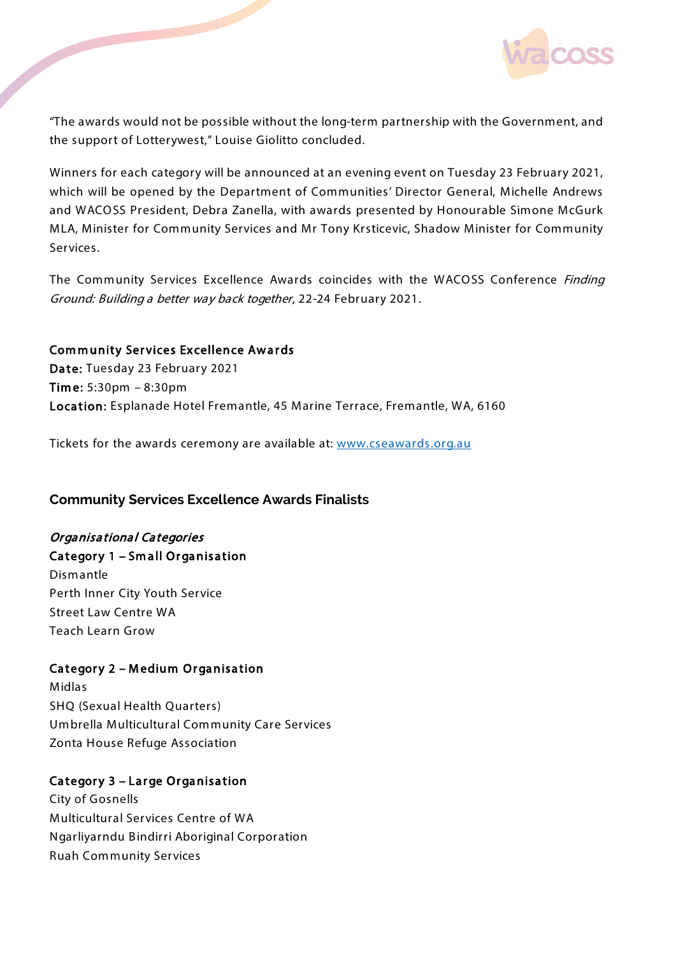

"The awards would not be possible without the long-term partnership with the Government, and the support of Lotterywest," Louise Giolitto concluded.

Winners for each category will be announced at an evening event on Tuesday 23 February 2021, which will be opened by the Department of Communities' Director General, Michelle Andrews and WACOSS President, Debra Zanella, with awards presented by Honourable Simone McGurk MLA, Minister for Community Services and Mr Tony Krsticevic, Shadow Minister for Community Services.

The Community Services Excellence Awards coincides with the WACOSS Conference Finding Ground: Building a better way back together, 22-24 February 2021.

#### Community Services Excellence Awards

Date: Tuesday 23 February 2021 Time: 5:30pm – 8:30pm Location: Esplanade Hotel Fremantle, 45 Marine Terrace, Fremantle, WA, 6160

Tickets for the awards ceremony are available at: [www.cseawards.org.au](http://www.cseawards.org.au/)

#### **Community Services Excellence Awards Finalists**

#### **Organisational Categories**

#### Category 1 – Small Organisation

Dismantle Perth Inner City Youth Service Street Law Centre WA Teach Learn Grow

#### Category 2 – Medium Organisation

Midlas SHQ (Sexual Health Quarters) Umbrella Multicultural Community Care Services Zonta House Refuge Association

#### Category 3 – Large Organisation

City of Gosnells Multicultural Services Centre of WA Ngarliyarndu B indirri Aboriginal Corporation Ruah Community Services